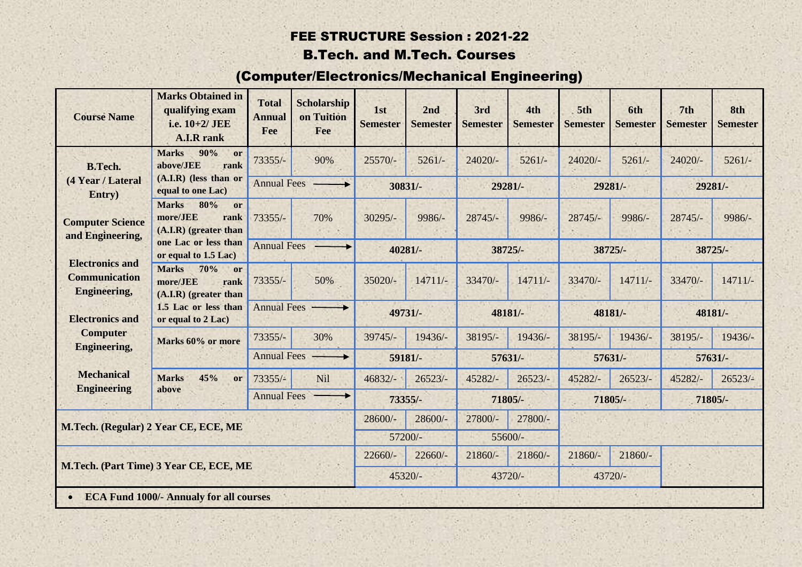#### FEE STRUCTURE Session : 2021-22 B.Tech. and M.Tech. Courses

# (Computer/Electronics/Mechanical Engineering)

| <b>Course Name</b>                                                                           | <b>Marks Obtained in</b><br>qualifying exam<br>i.e. 10+2/ JEE<br><b>A.I.R</b> rank | <b>Total</b><br><b>Annual</b><br>Fee | <b>Scholarship</b><br>on Tuition<br>Fee | 1st<br><b>Semester</b> | 2nd<br><b>Semester</b> | 3rd<br><b>Semester</b> | 4th<br><b>Semester</b> | 5th<br><b>Semester</b> | 6th<br><b>Semester</b> | 7th<br><b>Semester</b> | 8th<br><b>Semester</b> |
|----------------------------------------------------------------------------------------------|------------------------------------------------------------------------------------|--------------------------------------|-----------------------------------------|------------------------|------------------------|------------------------|------------------------|------------------------|------------------------|------------------------|------------------------|
| <b>B.Tech.</b><br>(4 Year / Lateral<br>Entry)<br><b>Computer Science</b><br>and Engineering, | 90%<br><b>Marks</b><br>or<br>above/JEE<br>rank                                     | $73355/-$                            | 90%                                     | $25570/-$              | $5261/-$               | $24020/-$              | $5261/-$               | $24020/-$              | $5261/-$               | $24020/-$              | $5261/-$               |
|                                                                                              | $(A.I.R)$ (less than or<br>equal to one Lac)                                       | <b>Annual Fees</b>                   |                                         | 30831/-                |                        | 29281/-                |                        | 29281/-                |                        | 29281/-                |                        |
|                                                                                              | <b>Marks</b><br>80%<br>or<br>more/JEE<br>rank<br>$(A.I.R)$ (greater than           | $73355/-$                            | 70%                                     | $30295/-$              | 9986/-                 | $28745/-$              | 9986/-                 | $28745/-$              | 9986/-                 | $28745/-$              | $9986/-$               |
|                                                                                              | one Lac or less than<br>or equal to 1.5 Lac)                                       | Annual Fees -                        |                                         | 40281/-                |                        | 38725/-                |                        | 38725/-                |                        | 38725/-                |                        |
| <b>Electronics and</b><br><b>Communication</b><br><b>Engineering,</b>                        | <b>Marks</b><br>70%<br>or<br>more/JEE<br>rank<br>$(A.I.R)$ (greater than           | $73355/-$                            | 50%                                     | $35020/-$              | $14711/-$              | 33470/-                | $14711/-$              | $33470/-$              | $14711/-$              | $33470/-$              | $14711/-$              |
| <b>Electronics and</b>                                                                       | 1.5 Lac or less than<br>or equal to 2 Lac)                                         | <b>Annual Fees</b>                   |                                         | 49731/-                |                        | 48181/-                |                        | 48181/-                |                        | 48181/-                |                        |
| <b>Computer</b><br><b>Engineering,</b>                                                       | Marks 60% or more                                                                  | $73355/-$                            | 30%                                     | 39745/-                | 19436/-                | 38195/-                | 19436/-                | 38195/-                | 19436/-                | 38195/-                | 19436/-                |
|                                                                                              |                                                                                    | Annual Fees -                        |                                         | 59181/-                |                        | 57631/-                |                        | 57631/-                |                        |                        | $57631/-$              |
|                                                                                              |                                                                                    |                                      |                                         |                        |                        |                        |                        |                        |                        |                        |                        |
| <b>Mechanical</b>                                                                            | <b>Marks</b><br>45%<br>or                                                          | $73355/-$                            | Nil                                     | $46832/-$              | $26523/-$              | 45282/-                | $26523/-$              | 45282/-                | $26523/-$              | 45282/-                | $26523/-$              |
| <b>Engineering</b>                                                                           | above                                                                              | <b>Annual Fees</b>                   |                                         |                        | $73355/-$              | 71805/-                |                        | 71805/-                |                        | 71805/-                |                        |
|                                                                                              |                                                                                    |                                      |                                         | $28600/-$              | $28600/-$              | 27800/-                | 27800/-                |                        |                        |                        |                        |
|                                                                                              | M.Tech. (Regular) 2 Year CE, ECE, ME                                               |                                      |                                         |                        | 57200/-                | 55600/-                |                        |                        |                        |                        |                        |
|                                                                                              |                                                                                    |                                      |                                         | $22660/-$              | $22660/-$              | $21860/-$              | $21860/-$              | $21860/-$              | $21860/-$              |                        |                        |
|                                                                                              | M.Tech. (Part Time) 3 Year CE, ECE, ME                                             |                                      |                                         | 45320/-                |                        | 43720/-                |                        | 43720/-                |                        |                        |                        |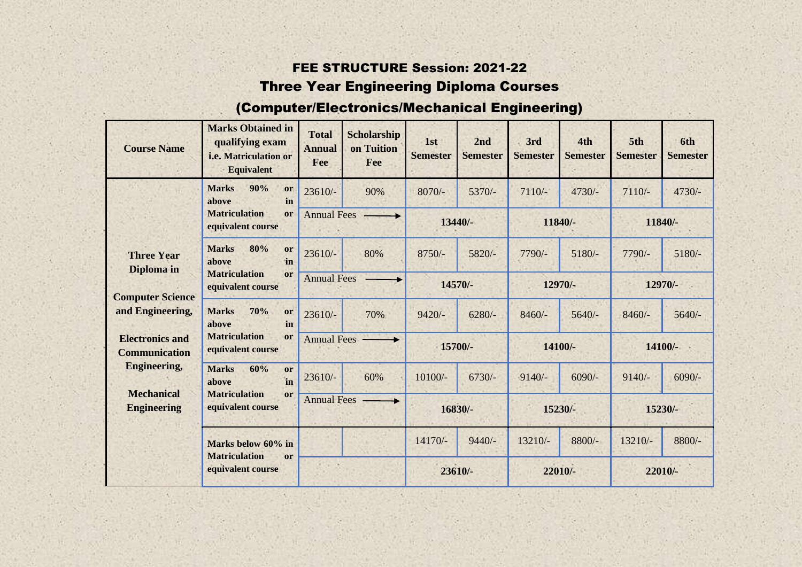#### FEE STRUCTURE Session: 2021-22 Three Year Engineering Diploma Courses

### (Computer/Electronics/Mechanical Engineering)

| <b>Course Name</b>                             | <b>Marks Obtained in</b><br>qualifying exam<br>i.e. Matriculation or<br><b>Equivalent</b> | <b>Total</b><br><b>Annual</b><br>Fee | <b>Scholarship</b><br>on Tuition<br>Fee | 1st<br><b>Semester</b> | 2nd<br><b>Semester</b> | 3rd<br><b>Semester</b> | 4th<br><b>Semester</b> | 5th<br><b>Semester</b> | 6th<br><b>Semester</b> |
|------------------------------------------------|-------------------------------------------------------------------------------------------|--------------------------------------|-----------------------------------------|------------------------|------------------------|------------------------|------------------------|------------------------|------------------------|
|                                                | 90%<br><b>Marks</b><br>or<br>in<br>above                                                  | $23610/-$                            | 90%                                     | $8070/-$               | $5370/-$               | $7110/-$               | 4730/-                 | $7110/-$               | 4730/-                 |
|                                                | <b>Matriculation</b><br>or<br>equivalent course                                           | <b>Annual Fees</b>                   |                                         | 13440/-                |                        | 11840/-                |                        | 11840/-                |                        |
| <b>Three Year</b>                              | 80%<br><b>Marks</b><br>or<br>in<br>above                                                  | $23610/-$                            | 80%                                     | $8750/-$               | 5820/-                 | 7790/-                 | $5180/-$               | 7790/-                 | $5180/-$               |
| Diploma in<br><b>Computer Science</b>          | <b>Matriculation</b><br>or<br>equivalent course                                           |                                      | <b>Annual Fees</b><br>14570/-           |                        |                        | 12970/-                |                        | 12970/-                |                        |
| and Engineering,                               | <b>Marks</b><br>70%<br>or<br>in<br>above                                                  | $23610/-$                            | 70%                                     | $9420/-$               | $6280/-$               | $8460/-$               | $5640/-$               | $8460/-$               | $5640/-$               |
| <b>Electronics and</b><br><b>Communication</b> | <b>Matriculation</b><br>or<br>equivalent course                                           | <b>Annual Fees</b>                   |                                         | 15700/-                |                        | 14100/-                |                        | 14100/-                |                        |
| <b>Engineering,</b>                            | <b>Marks</b><br>60%<br>or<br>in<br>above                                                  | 23610/-                              | 60%                                     | $10100/-$              | $6730/-$               | $9140/-$               | $6090/-$               | $9140/-$               | $6090/-$               |
| <b>Mechanical</b><br><b>Engineering</b>        | <b>Matriculation</b><br><sub>or</sub><br>equivalent course                                | <b>Annual Fees</b>                   |                                         | 16830/-                |                        | 15230/-                |                        | 15230/-                |                        |
|                                                | Marks below 60% in<br><b>Matriculation</b><br><sub>or</sub>                               |                                      |                                         | 14170/-                | $9440/-$               | 13210/-                | 8800/-                 | 13210/-                | 8800/-                 |
|                                                | equivalent course                                                                         |                                      |                                         |                        | 23610/-                | 22010/-                |                        | 22010/-                |                        |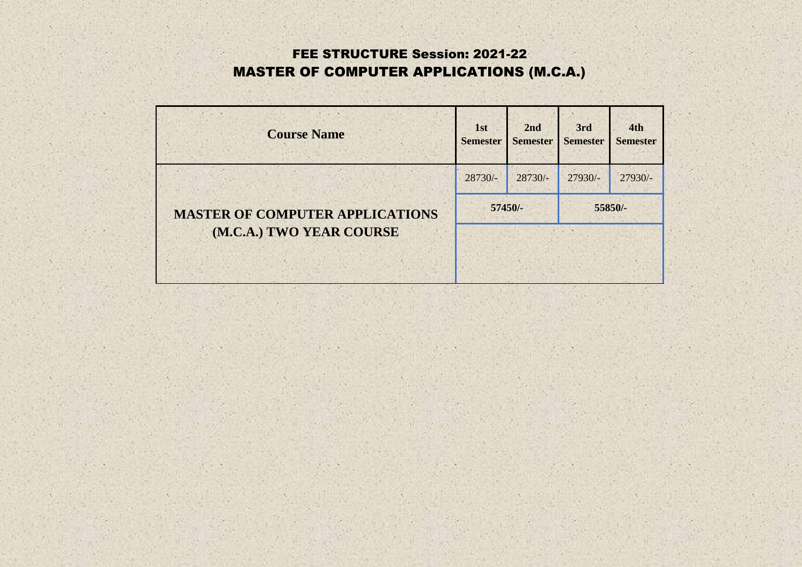## FEE STRUCTURE Session: 2021-22 MASTER OF COMPUTER APPLICATIONS (M.C.A.)

| <b>Course Name</b>                     | 1st<br><b>Semester</b> | 2nd<br><b>Semester</b> | 3rd<br><b>Semester</b> | 4th<br><b>Semester</b> |
|----------------------------------------|------------------------|------------------------|------------------------|------------------------|
|                                        | $28730/-$              | $28730/-$              | $27930/-$              | $27930/-$              |
| <b>MASTER OF COMPUTER APPLICATIONS</b> | 57450/-<br>55850/-     |                        |                        |                        |
| (M.C.A.) TWO YEAR COURSE               |                        |                        |                        |                        |
|                                        |                        |                        |                        |                        |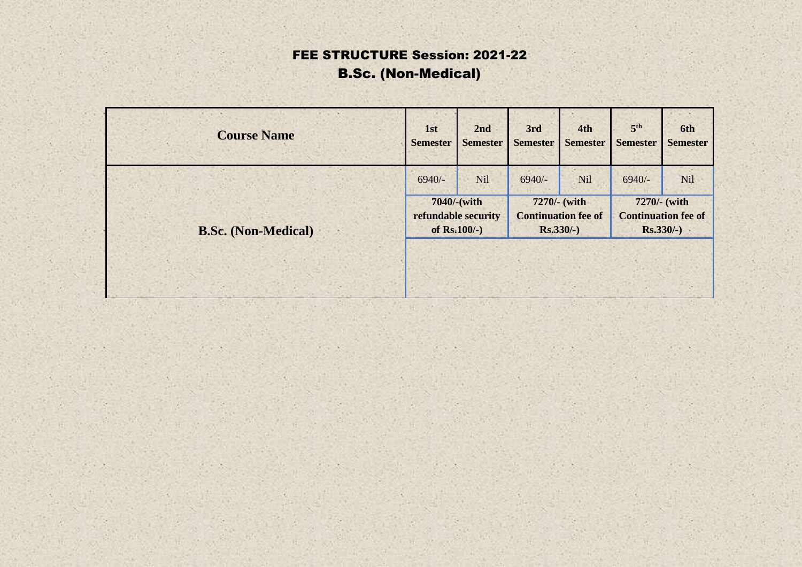# FEE STRUCTURE Session: 2021-22 B.Sc. (Non-Medical)

| <b>Course Name</b>         | 1st                 | 2nd             | 3rd                        | 4th             | 5 <sup>th</sup>            | 6th             |
|----------------------------|---------------------|-----------------|----------------------------|-----------------|----------------------------|-----------------|
|                            | <b>Semester</b>     | <b>Semester</b> | <b>Semester</b>            | <b>Semester</b> | <b>Semester</b>            | <b>Semester</b> |
|                            | $6940/-$            | <b>Nil</b>      | $6940/-$                   | Nil             | $6940/-$                   | <b>Nil</b>      |
| <b>B.Sc.</b> (Non-Medical) | 7040/-(with         |                 | 7270/- (with               |                 | 7270/- (with               |                 |
|                            | refundable security |                 | <b>Continuation fee of</b> |                 | <b>Continuation fee of</b> |                 |
|                            | of $Rs.100/-$ )     |                 | $Rs.330/-$ )               |                 | $Rs.330/-$ )               |                 |
|                            |                     |                 |                            |                 |                            |                 |